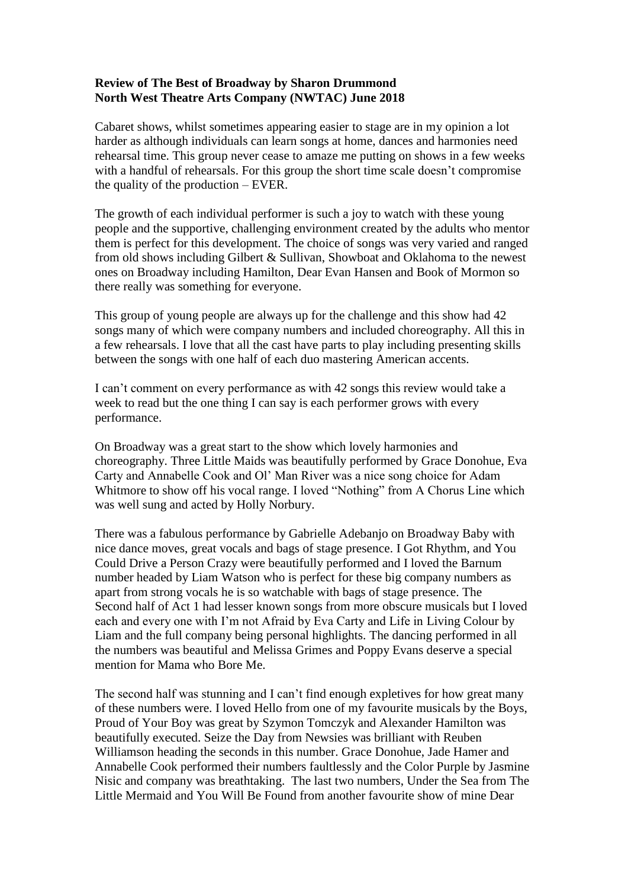## **Review of The Best of Broadway by Sharon Drummond North West Theatre Arts Company (NWTAC) June 2018**

Cabaret shows, whilst sometimes appearing easier to stage are in my opinion a lot harder as although individuals can learn songs at home, dances and harmonies need rehearsal time. This group never cease to amaze me putting on shows in a few weeks with a handful of rehearsals. For this group the short time scale doesn't compromise the quality of the production – EVER.

The growth of each individual performer is such a joy to watch with these young people and the supportive, challenging environment created by the adults who mentor them is perfect for this development. The choice of songs was very varied and ranged from old shows including Gilbert & Sullivan, Showboat and Oklahoma to the newest ones on Broadway including Hamilton, Dear Evan Hansen and Book of Mormon so there really was something for everyone.

This group of young people are always up for the challenge and this show had 42 songs many of which were company numbers and included choreography. All this in a few rehearsals. I love that all the cast have parts to play including presenting skills between the songs with one half of each duo mastering American accents.

I can't comment on every performance as with 42 songs this review would take a week to read but the one thing I can say is each performer grows with every performance.

On Broadway was a great start to the show which lovely harmonies and choreography. Three Little Maids was beautifully performed by Grace Donohue, Eva Carty and Annabelle Cook and Ol' Man River was a nice song choice for Adam Whitmore to show off his vocal range. I loved "Nothing" from A Chorus Line which was well sung and acted by Holly Norbury.

There was a fabulous performance by Gabrielle Adebanjo on Broadway Baby with nice dance moves, great vocals and bags of stage presence. I Got Rhythm, and You Could Drive a Person Crazy were beautifully performed and I loved the Barnum number headed by Liam Watson who is perfect for these big company numbers as apart from strong vocals he is so watchable with bags of stage presence. The Second half of Act 1 had lesser known songs from more obscure musicals but I loved each and every one with I'm not Afraid by Eva Carty and Life in Living Colour by Liam and the full company being personal highlights. The dancing performed in all the numbers was beautiful and Melissa Grimes and Poppy Evans deserve a special mention for Mama who Bore Me.

The second half was stunning and I can't find enough expletives for how great many of these numbers were. I loved Hello from one of my favourite musicals by the Boys, Proud of Your Boy was great by Szymon Tomczyk and Alexander Hamilton was beautifully executed. Seize the Day from Newsies was brilliant with Reuben Williamson heading the seconds in this number. Grace Donohue, Jade Hamer and Annabelle Cook performed their numbers faultlessly and the Color Purple by Jasmine Nisic and company was breathtaking. The last two numbers, Under the Sea from The Little Mermaid and You Will Be Found from another favourite show of mine Dear